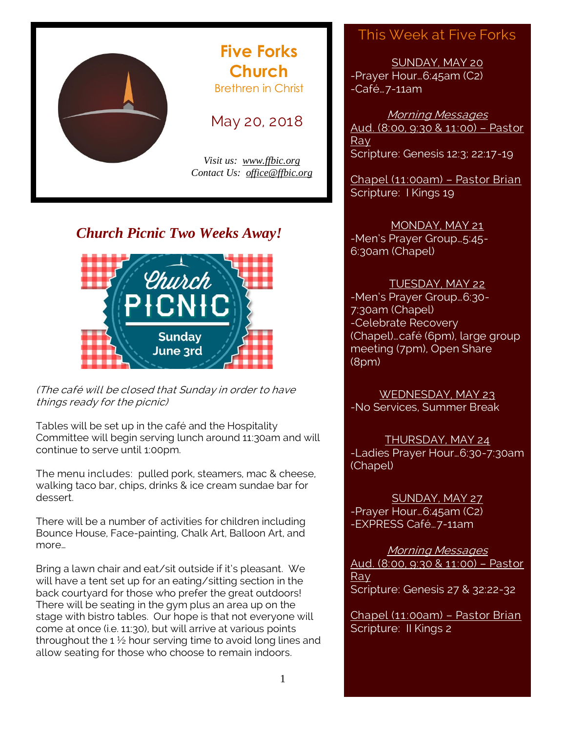

## *Church Picnic Two Weeks Away!*



(The café will be closed that Sunday in order to have things ready for the picnic)

Tables will be set up in the café and the Hospitality Committee will begin serving lunch around 11:30am and will continue to serve until 1:00pm.

The menu includes: pulled pork, steamers, mac & cheese, walking taco bar, chips, drinks & ice cream sundae bar for dessert.

There will be a number of activities for children including Bounce House, Face-painting, Chalk Art, Balloon Art, and more…

Bring a lawn chair and eat/sit outside if it's pleasant. We will have a tent set up for an eating/sitting section in the back courtyard for those who prefer the great outdoors! There will be seating in the gym plus an area up on the stage with bistro tables. Our hope is that not everyone will come at once (i.e. 11:30), but will arrive at various points throughout the 1 $\frac{1}{2}$  hour serving time to avoid long lines and allow seating for those who choose to remain indoors.

## This Week at Five Forks

SUNDAY, MAY 20 -Prayer Hour…6:45am (C2) -Café…7-11am

Morning Messages Aud. (8:00, 9:30 & 11:00) – Pastor Ray Scripture: Genesis 12:3; 22:17-19

Chapel (11:00am) – Pastor Brian Scripture: I Kings 19

#### MONDAY, MAY 21

-Men's Prayer Group…5:45- 6:30am (Chapel)

#### TUESDAY, MAY 22

-Men's Prayer Group…6:30- 7:30am (Chapel) -Celebrate Recovery (Chapel)…café (6pm), large group meeting (7pm), Open Share (8pm)

WEDNESDAY, MAY 23 -No Services, Summer Break

THURSDAY, MAY 24 -Ladies Prayer Hour…6:30-7:30am (Chapel)

SUNDAY, MAY 27 -Prayer Hour…6:45am (C2) -EXPRESS Café…7-11am

Morning Messages Aud. (8:00, 9:30 & 11:00) – Pastor Ray Scripture: Genesis 27 & 32:22-32

Chapel (11:00am) – Pastor Brian Scripture: II Kings 2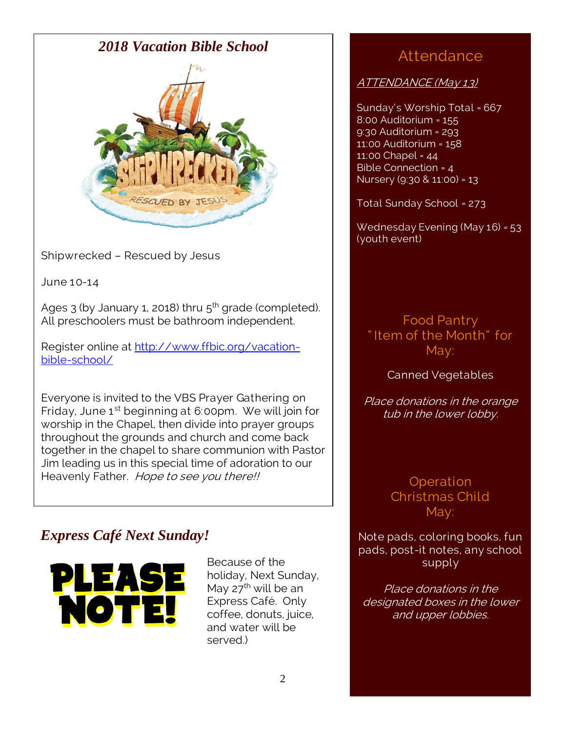

Shipwrecked – Rescued by Jesus

June 10-14

Ages 3 (by January 1, 2018) thru 5<sup>th</sup> grade (completed). All preschoolers must be bathroom independent.

Register online at [http://www.ffbic.org/vacation](http://www.ffbic.org/vacation-bible-school/)[bible-school/](http://www.ffbic.org/vacation-bible-school/)

Everyone is invited to the VBS Prayer Gathering on Friday, June  $1<sup>st</sup>$  beginning at 6:00pm. We will join for worship in the Chapel, then divide into prayer groups throughout the grounds and church and come back together in the chapel to share communion with Pastor Jim leading us in this special time of adoration to our Heavenly Father. Hope to see you there!!

# *Express Café Next Sunday!*



Because of the holiday, Next Sunday, May  $27^{\text{th}}$  will be an Express Café. Only coffee, donuts, juice, and water will be served.)

# Attendance

ATTENDANCE (May 13)

Sunday's Worship Total = 667 8:00 Auditorium = 155 9:30 Auditorium = 293 11:00 Auditorium = 158 11:00 Chapel = 44 Bible Connection = 4 Nursery (9:30 & 11:00) = 13

Total Sunday School = 273

Wednesday Evening (May 16) = 53 (youth event)

Food Pantry " Item of the Month" for May:

## Canned Vegetables

Place donations in the orange tub in the lower lobby.

> **Operation** Christmas Child May:

Note pads, coloring books, fun pads, post-it notes, any school supply

Place donations in the designated boxes in the lower and upper lobbies.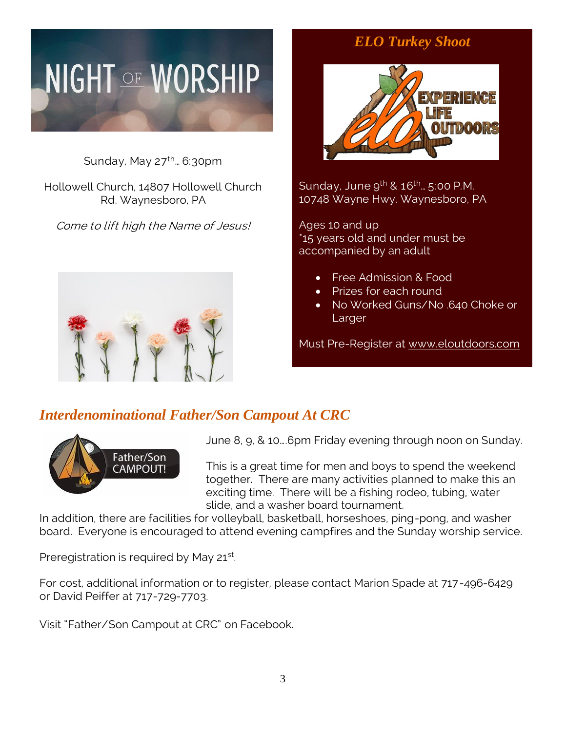# **NIGHT OF WORSHIP**

Sunday, May  $27^{\text{th}}$ . 6:30pm

Hollowell Church, 14807 Hollowell Church Rd. Waynesboro, PA

Come to lift high the Name of Jesus!



# *ELO Turkey Shoot*



Sunday, June  $9^{th}$  &  $16^{th}$ ... 5:00 P.M. 10748 Wayne Hwy. Waynesboro, PA

Ages 10 and up \*15 years old and under must be accompanied by an adult

- Free Admission & Food
- Prizes for each round
- No Worked Guns/No .640 Choke or Larger

Must Pre-Register at [www.eloutdoors.com](http://www.eloutdoors.com/)

## *Interdenominational Father/Son Campout At CRC*



June 8, 9, & 10….6pm Friday evening through noon on Sunday.

This is a great time for men and boys to spend the weekend together. There are many activities planned to make this an exciting time. There will be a fishing rodeo, tubing, water slide, and a washer board tournament.

In addition, there are facilities for volleyball, basketball, horseshoes, ping-pong, and washer board. Everyone is encouraged to attend evening campfires and the Sunday worship service.

Preregistration is required by May 21<sup>st</sup>.

For cost, additional information or to register, please contact Marion Spade at 717-496-6429 or David Peiffer at 717-729-7703.

Visit "Father/Son Campout at CRC" on Facebook.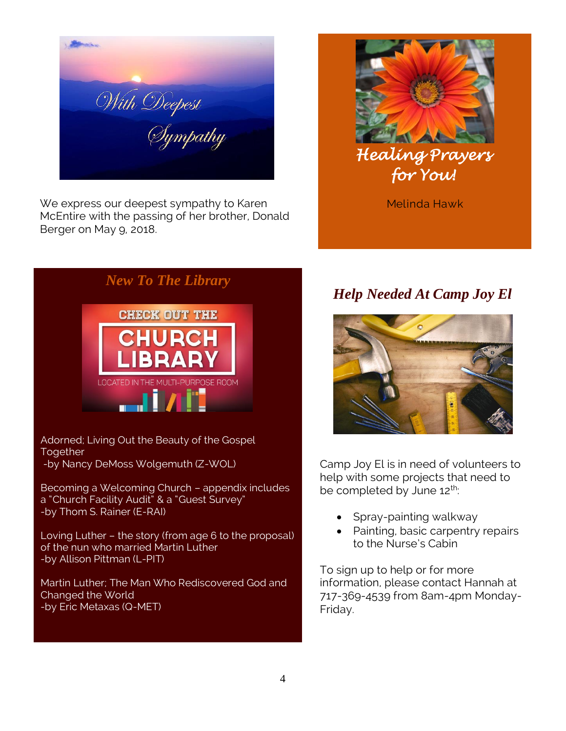With Deepest<br>Sympathy

We express our deepest sympathy to Karen McEntire with the passing of her brother, Donald Berger on May 9, 2018.



*New To The Library* **CHECK OUT THE CHURCH IBRARY** 

Adorned; Living Out the Beauty of the Gospel **Together** -by Nancy DeMoss Wolgemuth (Z-WOL)

Becoming a Welcoming Church – appendix includes a "Church Facility Audit" & a "Guest Survey" -by Thom S. Rainer (E-RAI)

Loving Luther – the story (from age 6 to the proposal) of the nun who married Martin Luther -by Allison Pittman (L-PIT)

Martin Luther; The Man Who Rediscovered God and Changed the World -by Eric Metaxas (Q-MET)

Melinda Hawk

# *Help Needed At Camp Joy El*



Camp Joy El is in need of volunteers to help with some projects that need to be completed by June 12<sup>th</sup>:

- Spray-painting walkway
- Painting, basic carpentry repairs to the Nurse's Cabin

To sign up to help or for more information, please contact Hannah at 717-369-4539 from 8am-4pm Monday-Friday.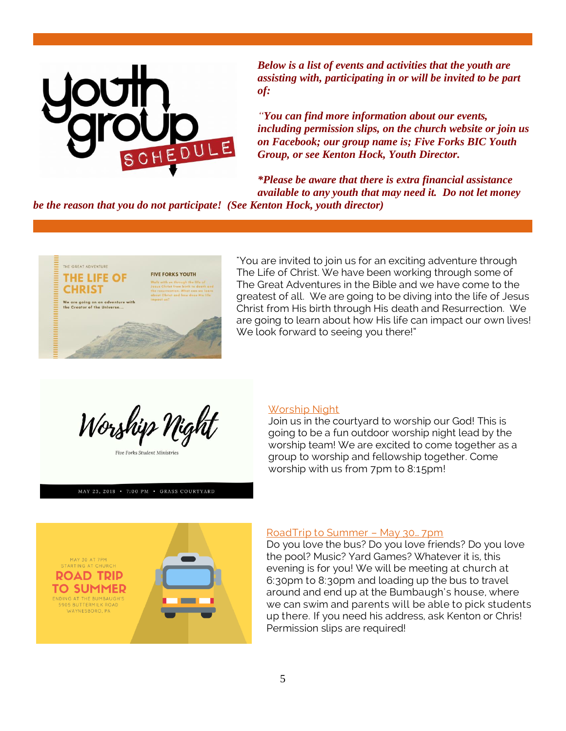

*Below is a list of events and activities that the youth are assisting with, participating in or will be invited to be part of:*

*"You can find more information about our events, including permission slips, on the church website or join us on Facebook; our group name is; Five Forks BIC Youth Group, or see Kenton Hock, Youth Director.*

*\*Please be aware that there is extra financial assistance available to any youth that may need it. Do not let money* 

*be the reason that you do not participate! (See Kenton Hock, youth director)*



"You are invited to join us for an exciting adventure through The Life of Christ. We have been working through some of The Great Adventures in the Bible and we have come to the greatest of all. We are going to be diving into the life of Jesus Christ from His birth through His death and Resurrection. We are going to learn about how His life can impact our own lives! We look forward to seeing you there!"

Worship Night

MAY 23, 2018 • 7:00 PM • GRASS COURTYARD

#### Worship Night

Join us in the courtyard to worship our God! This is going to be a fun outdoor worship night lead by the worship team! We are excited to come together as a group to worship and fellowship together. Come worship with us from 7pm to 8:15pm!



#### RoadTrip to Summer – May 30… 7pm

Do you love the bus? Do you love friends? Do you love the pool? Music? Yard Games? Whatever it is, this evening is for you! We will be meeting at church at 6:30pm to 8:30pm and loading up the bus to travel around and end up at the Bumbaugh's house, where we can swim and parents will be able to pick students up there. If you need his address, ask Kenton or Chris! Permission slips are required!